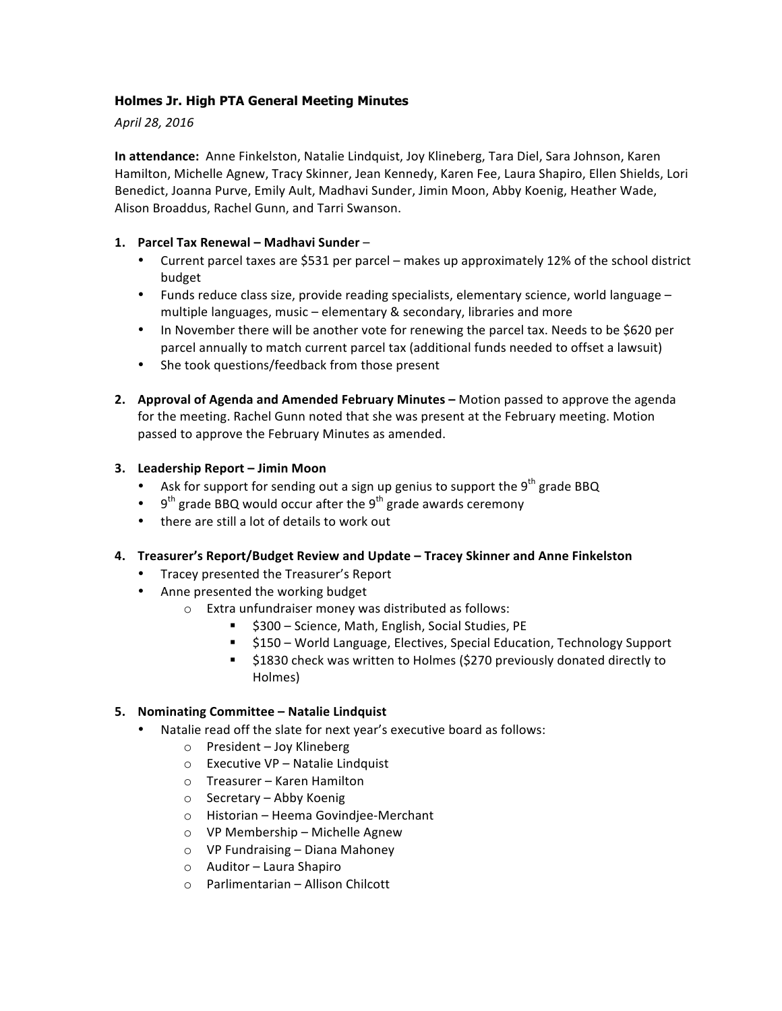### **Holmes Jr. High PTA General Meeting Minutes**

*April 28, 2016*

**In attendance:** Anne Finkelston, Natalie Lindquist, Joy Klineberg, Tara Diel, Sara Johnson, Karen Hamilton, Michelle Agnew, Tracy Skinner, Jean Kennedy, Karen Fee, Laura Shapiro, Ellen Shields, Lori Benedict, Joanna Purve, Emily Ault, Madhavi Sunder, Jimin Moon, Abby Koenig, Heather Wade, Alison Broaddus, Rachel Gunn, and Tarri Swanson.

### **1. Parcel Tax Renewal – Madhavi Sunder** –

- Current parcel taxes are \$531 per parcel makes up approximately 12% of the school district budget
- Funds reduce class size, provide reading specialists, elementary science, world language multiple languages, music – elementary  $\&$  secondary, libraries and more
- In November there will be another vote for renewing the parcel tax. Needs to be \$620 per parcel annually to match current parcel tax (additional funds needed to offset a lawsuit)
- She took questions/feedback from those present
- **2.** Approval of Agenda and Amended February Minutes Motion passed to approve the agenda for the meeting. Rachel Gunn noted that she was present at the February meeting. Motion passed to approve the February Minutes as amended.

### **3. Leadership Report – Jimin Moon**

- Ask for support for sending out a sign up genius to support the  $9<sup>th</sup>$  grade BBQ
- 9<sup>th</sup> grade BBQ would occur after the 9<sup>th</sup> grade awards ceremony
- there are still a lot of details to work out

#### **4. Treasurer's Report/Budget Review and Update – Tracey Skinner and Anne Finkelston**

- Tracey presented the Treasurer's Report
- Anne presented the working budget
	- $\circ$  Extra unfundraiser money was distributed as follows:
		- **5300** Science, Math, English, Social Studies, PE
		- \$150 World Language, Electives, Special Education, Technology Support
		- \$1830 check was written to Holmes (\$270 previously donated directly to Holmes)

#### **5. Nominating Committee – Natalie Lindquist**

- Natalie read off the slate for next year's executive board as follows:
	- $\circ$  President Joy Klineberg
	- $\circ$  Executive VP Natalie Lindquist
	- $\circ$  Treasurer Karen Hamilton
	- $\circ$  Secretary Abby Koenig
	- o Historian Heema Govindjee-Merchant
	- $\circ$  VP Membership Michelle Agnew
	- $\circ$  VP Fundraising Diana Mahoney
	- $\circ$  Auditor Laura Shapiro
	- $\circ$  Parlimentarian Allison Chilcott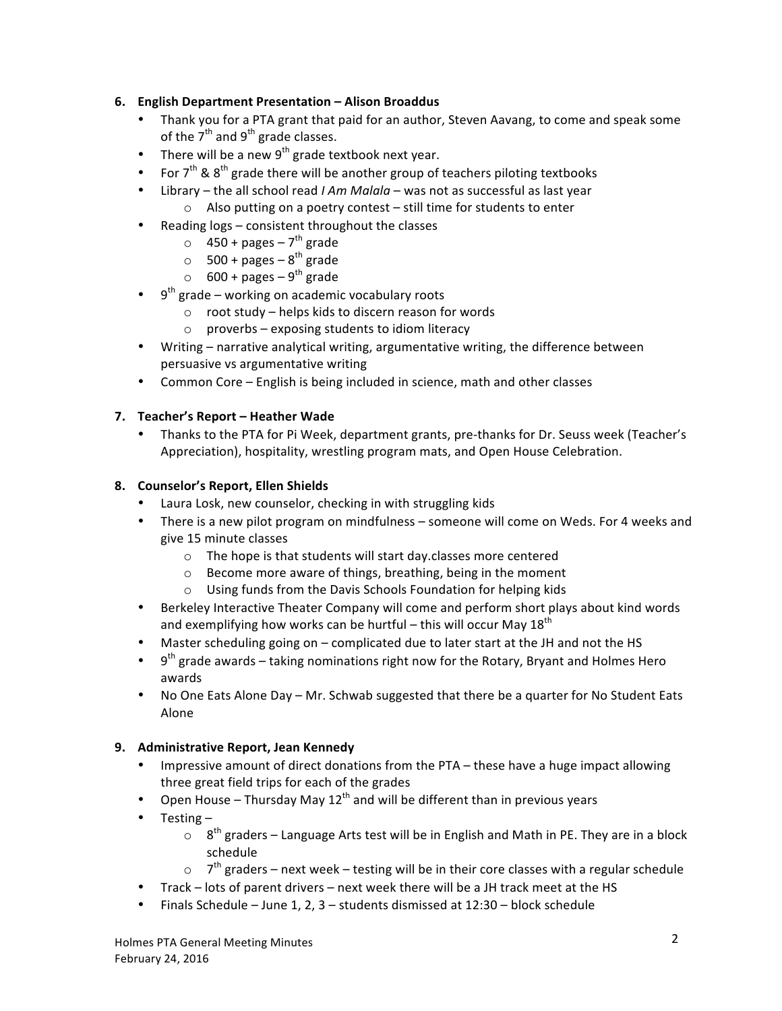# **6. English Department Presentation – Alison Broaddus**

- Thank you for a PTA grant that paid for an author, Steven Aavang, to come and speak some of the  $7<sup>th</sup>$  and  $9<sup>th</sup>$  grade classes.
- There will be a new  $9^{th}$  grade textbook next year.
- For  $7<sup>th</sup>$  &  $8<sup>th</sup>$  grade there will be another group of teachers piloting textbooks
- Library the all school read *I Am Malala* was not as successful as last year  $\circ$  Also putting on a poetry contest – still time for students to enter
- Reading logs consistent throughout the classes
	- $\circ$  450 + pages 7<sup>th</sup> grade
	- $\circ$  500 + pages 8<sup>th</sup> grade
	- $\circ$  600 + pages 9<sup>th</sup> grade
- $9<sup>th</sup>$  grade working on academic vocabulary roots
	- $\circ$  root study helps kids to discern reason for words
	- $\circ$  proverbs exposing students to idiom literacy
- Writing narrative analytical writing, argumentative writing, the difference between persuasive vs argumentative writing
- Common Core English is being included in science, math and other classes

### **7. Teacher's Report – Heather Wade**

• Thanks to the PTA for Pi Week, department grants, pre-thanks for Dr. Seuss week (Teacher's Appreciation), hospitality, wrestling program mats, and Open House Celebration.

### **8. Counselor's Report, Ellen Shields**

- Laura Losk, new counselor, checking in with struggling kids
- There is a new pilot program on mindfulness someone will come on Weds. For 4 weeks and give 15 minute classes
	- $\circ$  The hope is that students will start day.classes more centered
	- $\circ$  Become more aware of things, breathing, being in the moment
	- $\circ$  Using funds from the Davis Schools Foundation for helping kids
- Berkeley Interactive Theater Company will come and perform short plays about kind words and exemplifying how works can be hurtful – this will occur May  $18^{th}$
- Master scheduling going on complicated due to later start at the JH and not the HS
- 9<sup>th</sup> grade awards taking nominations right now for the Rotary, Bryant and Holmes Hero awards
- No One Eats Alone Day Mr. Schwab suggested that there be a quarter for No Student Eats Alone

## **9.** Administrative Report, Jean Kennedy

- Impressive amount of direct donations from the PTA these have a huge impact allowing three great field trips for each of the grades
- Open House Thursday May 12<sup>th</sup> and will be different than in previous years
- Testing  $-$ 
	- $\circ$  8<sup>th</sup> graders Language Arts test will be in English and Math in PE. They are in a block schedule
	- $\circ$  7<sup>th</sup> graders next week testing will be in their core classes with a regular schedule
- Track lots of parent drivers next week there will be a JH track meet at the HS
- Finals Schedule June 1, 2, 3 students dismissed at  $12:30$  block schedule